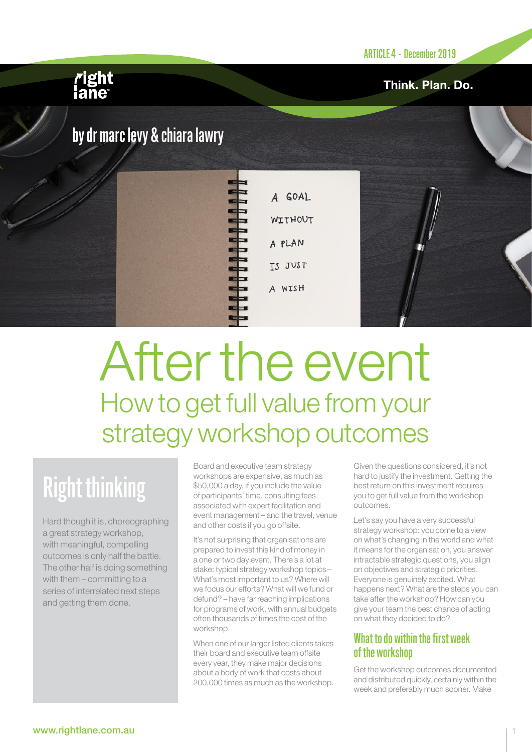Think. Plan. Do.

## *r*ight<br>lane

## by dr marc levy & chiara lawry

A GOAL **WITHOUT** A PLAN TS JUST A WISH

# After the event How to get full value from your strategy workshop outcomes

# Right thinking

Hard though it is, choreographing a great strategy workshop, with meaningful, compelling outcomes is only half the battle. The other half is doing something with them – committing to a series of interrelated next steps and getting them done.

Board and executive team strategy workshops are expensive, as much as \$50,000 a day, if you include the value of participants' time, consulting fees associated with expert facilitation and event management – and the travel, venue and other costs if you go offsite.

It's not surprising that organisations are prepared to invest this kind of money in a one or two day event. There's a lot at stake: typical strategy workshop topics – What's most important to us? Where will we focus our efforts? What will we fund or defund? – have far reaching implications for programs of work, with annual budgets often thousands of times the cost of the workshop.

When one of our larger listed clients takes their board and executive team offsite every year, they make major decisions about a body of work that costs about 200,000 times as much as the workshop.

Given the questions considered, it's not hard to justify the investment. Getting the best return on this investment requires you to get full value from the workshop outcomes.

Let's say you have a very successful strategy workshop: you come to a view on what's changing in the world and what it means for the organisation, you answer intractable strategic questions, you align on objectives and strategic priorities. Everyone is genuinely excited. What happens next? What are the steps you can take after the workshop? How can you give your team the best chance of acting on what they decided to do?

#### What to do within the first week of the workshop

Get the workshop outcomes documented and distributed quickly, certainly within the week and preferably much sooner. Make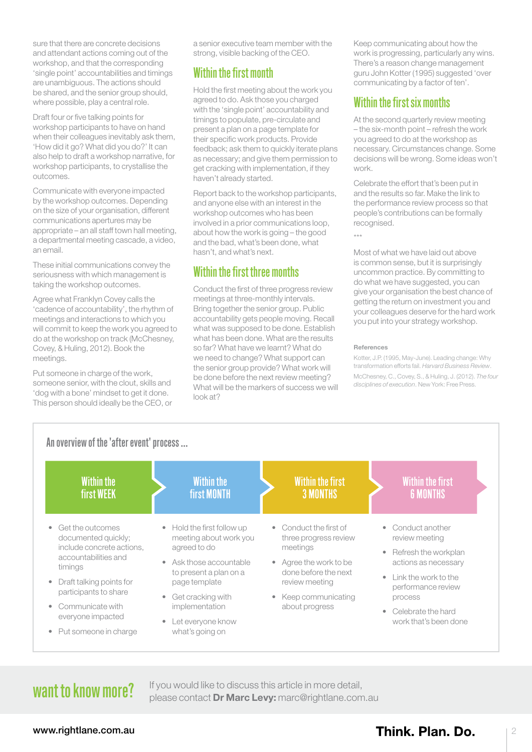sure that there are concrete decisions and attendant actions coming out of the workshop, and that the corresponding 'single point' accountabilities and timings are unambiguous. The actions should be shared, and the senior group should, where possible, play a central role.

Draft four or five talking points for workshop participants to have on hand when their colleagues inevitably ask them, 'How did it go? What did you do?' It can also help to draft a workshop narrative, for workshop participants, to crystallise the outcomes.

Communicate with everyone impacted by the workshop outcomes. Depending on the size of your organisation, different communications apertures may be appropriate – an all staff town hall meeting, a departmental meeting cascade, a video, an email.

These initial communications convey the seriousness with which management is taking the workshop outcomes.

Agree what Franklyn Covey calls the 'cadence of accountability', the rhythm of meetings and interactions to which you will commit to keep the work you agreed to do at the workshop on track (McChesney, Covey, & Huling, 2012). Book the meetings.

Put someone in charge of the work, someone senior, with the clout, skills and 'dog with a bone' mindset to get it done. This person should ideally be the CEO, or a senior executive team member with the strong, visible backing of the CEO.

#### Within the first month

Hold the first meeting about the work you agreed to do. Ask those you charged with the 'single point' accountability and timings to populate, pre-circulate and present a plan on a page template for their specific work products. Provide feedback; ask them to quickly iterate plans as necessary; and give them permission to get cracking with implementation, if they haven't already started.

Report back to the workshop participants, and anyone else with an interest in the workshop outcomes who has been involved in a prior communications loop, about how the work is going – the good and the bad, what's been done, what hasn't, and what's next.

### Within the first three months

Conduct the first of three progress review meetings at three-monthly intervals. Bring together the senior group. Public accountability gets people moving. Recall what was supposed to be done. Establish what has been done. What are the results so far? What have we learnt? What do we need to change? What support can the senior group provide? What work will be done before the next review meeting? What will be the markers of success we will look at?

Keep communicating about how the work is progressing, particularly any wins. There's a reason change management guru John Kotter (1995) suggested 'over communicating by a factor of ten'.

### Within the first six months

At the second quarterly review meeting – the six-month point – refresh the work you agreed to do at the workshop as necessary. Circumstances change. Some decisions will be wrong. Some ideas won't work.

Celebrate the effort that's been put in and the results so far. Make the link to the performance review process so that people's contributions can be formally recognised.

\*\*\*

Most of what we have laid out above is common sense, but it is surprisingly uncommon practice. By committing to do what we have suggested, you can give your organisation the best chance of getting the return on investment you and your colleagues deserve for the hard work you put into your strategy workshop.

#### References

Kotter, J.P. (1995, May-June). Leading change: Why transformation efforts fail. *Harvard Business Review*. McChesney, C., Covey, S., & Huling, J. (2012). *The four disciplines of execution*. New York: Free Press.



## want to know more?

If you would like to discuss this article in more detail, please contact [Dr Marc Levy:](mailto:marc%40rightlane.com.au?subject=) [marc@rightlane.com.au](mailto:marc%40rightlane.com.au?subject=)